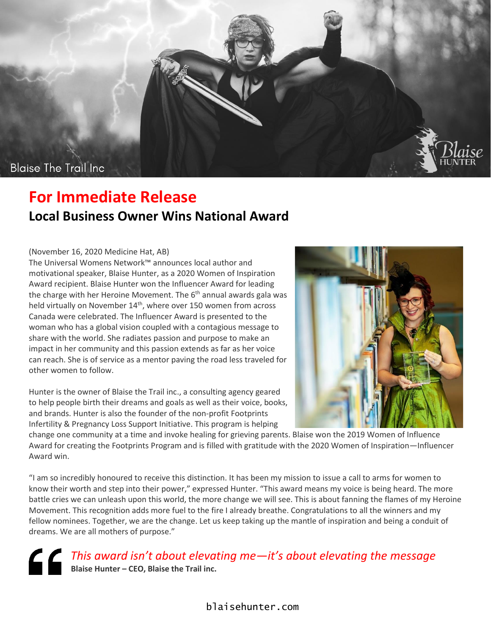

## **For Immediate Release Local Business Owner Wins National Award**

## (November 16, 2020 Medicine Hat, AB)

The Universal Womens Network™ announces local author and motivational speaker, Blaise Hunter, as a 2020 Women of Inspiration Award recipient. Blaise Hunter won the Influencer Award for leading the charge with her Heroine Movement. The 6<sup>th</sup> annual awards gala was held virtually on November 14<sup>th</sup>, where over 150 women from across Canada were celebrated. The Influencer Award is presented to the woman who has a global vision coupled with a contagious message to share with the world. She radiates passion and purpose to make an impact in her community and this passion extends as far as her voice can reach. She is of service as a mentor paving the road less traveled for other women to follow.

Hunter is the owner of Blaise the Trail inc., a consulting agency geared to help people birth their dreams and goals as well as their voice, books, and brands. Hunter is also the founder of the non-profit Footprints Infertility & Pregnancy Loss Support Initiative. This program is helping



change one community at a time and invoke healing for grieving parents. Blaise won the 2019 Women of Influence Award for creating the Footprints Program and is filled with gratitude with the 2020 Women of Inspiration*—*Influencer Award win.

"I am so incredibly honoured to receive this distinction. It has been my mission to issue a call to arms for women to know their worth and step into their power," expressed Hunter. "This award means my voice is being heard. The more battle cries we can unleash upon this world, the more change we will see. This is about fanning the flames of my Heroine Movement. This recognition adds more fuel to the fire I already breathe. Congratulations to all the winners and my fellow nominees. Together, we are the change. Let us keep taking up the mantle of inspiration and being a conduit of dreams. We are all mothers of purpose."

*This award isn't about elevating me—it's about elevating the message* **Blaise Hunter – CEO, Blaise the Trail inc.**